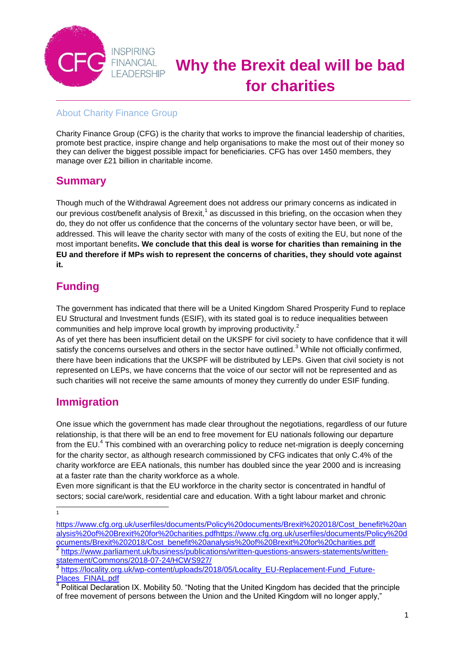

# **Why the Brexit deal will be bad for charities**

#### About Charity Finance Group

Charity Finance Group (CFG) is the charity that works to improve the financial leadership of charities, promote best practice, inspire change and help organisations to make the most out of their money so they can deliver the biggest possible impact for beneficiaries. CFG has over 1450 members, they manage over £21 billion in charitable income.

#### **Summary**

Though much of the Withdrawal Agreement does not address our primary concerns as indicated in our previous cost/benefit analysis of Brexit,<sup>1</sup> as discussed in this briefing, on the occasion when they do, they do not offer us confidence that the concerns of the voluntary sector have been, or will be, addressed. This will leave the charity sector with many of the costs of exiting the EU, but none of the most important benefits**. We conclude that this deal is worse for charities than remaining in the EU and therefore if MPs wish to represent the concerns of charities, they should vote against it.** 

# **Funding**

The government has indicated that there will be a United Kingdom Shared Prosperity Fund to replace EU Structural and Investment funds (ESIF), with its stated goal is to reduce inequalities between communities and help improve local growth by improving productivity.<sup>2</sup>

As of yet there has been insufficient detail on the UKSPF for civil society to have confidence that it will satisfy the concerns ourselves and others in the sector have outlined.<sup>3</sup> While not officially confirmed, there have been indications that the UKSPF will be distributed by LEPs. Given that civil society is not represented on LEPs, we have concerns that the voice of our sector will not be represented and as such charities will not receive the same amounts of money they currently do under ESIF funding.

### **Immigration**

One issue which the government has made clear throughout the negotiations, regardless of our future relationship, is that there will be an end to free movement for EU nationals following our departure from the EU.<sup>4</sup> This combined with an overarching policy to reduce net-migration is deeply concerning for the charity sector, as although research commissioned by CFG indicates that only C.4% of the charity workforce are EEA nationals, this number has doubled since the year 2000 and is increasing at a faster rate than the charity workforce as a whole.

Even more significant is that the EU workforce in the charity sector is concentrated in handful of sectors; social care/work, residential care and education. With a tight labour market and chronic

 $\frac{1}{1}$ 

[https://www.cfg.org.uk/userfiles/documents/Policy%20documents/Brexit%202018/Cost\\_benefit%20an](https://www.cfg.org.uk/userfiles/documents/Policy%20documents/Brexit%202018/Cost_benefit%20analysis%20of%20Brexit%20for%20charities.pdf) [alysis%20of%20Brexit%20for%20charities.pdfhttps://www.cfg.org.uk/userfiles/documents/Policy%20d](https://www.cfg.org.uk/userfiles/documents/Policy%20documents/Brexit%202018/Cost_benefit%20analysis%20of%20Brexit%20for%20charities.pdf) [ocuments/Brexit%202018/Cost\\_benefit%20analysis%20of%20Brexit%20for%20charities.pdf](https://www.cfg.org.uk/userfiles/documents/Policy%20documents/Brexit%202018/Cost_benefit%20analysis%20of%20Brexit%20for%20charities.pdf) 2

[https://www.parliament.uk/business/publications/written-questions-answers-statements/written](https://www.parliament.uk/business/publications/written-questions-answers-statements/written-statement/Commons/2018-07-24/HCWS927/)[statement/Commons/2018-07-24/HCWS927/](https://www.parliament.uk/business/publications/written-questions-answers-statements/written-statement/Commons/2018-07-24/HCWS927/) 3

[https://locality.org.uk/wp-content/uploads/2018/05/Locality\\_EU-Replacement-Fund\\_Future-](https://locality.org.uk/wp-content/uploads/2018/05/Locality_EU-Replacement-Fund_Future-Places_FINAL.pdf)[Places\\_FINAL.pdf](https://locality.org.uk/wp-content/uploads/2018/05/Locality_EU-Replacement-Fund_Future-Places_FINAL.pdf)

<sup>4</sup> Political Declaration IX. Mobility 50. "Noting that the United Kingdom has decided that the principle of free movement of persons between the Union and the United Kingdom will no longer apply,"